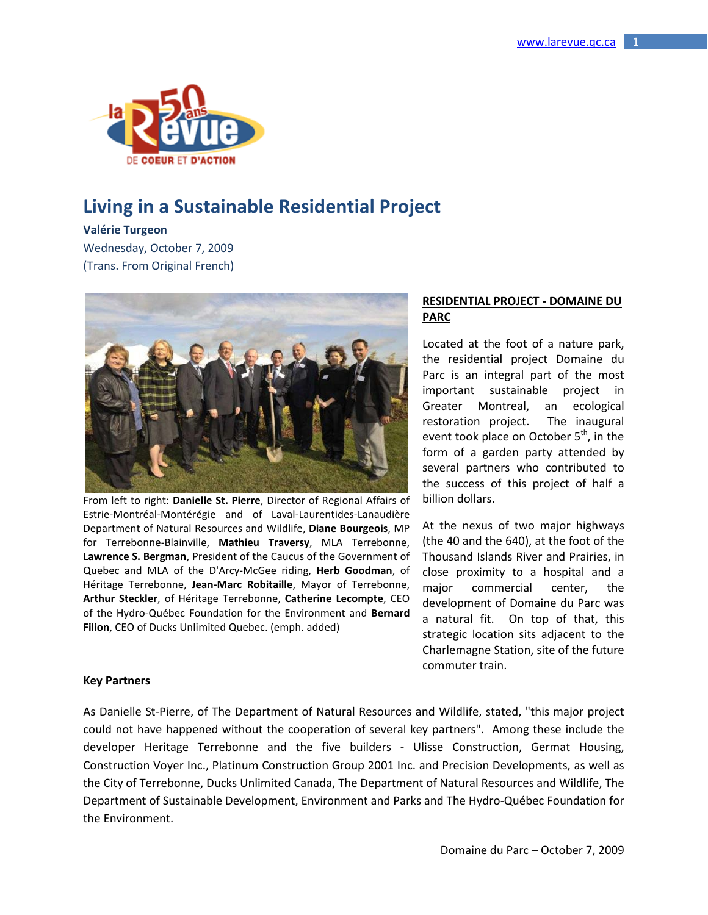

# **Living in a Sustainable Residential Project**

#### **Valérie Turgeon**

Wednesday, October 7, 2009 (Trans. From Original French)



From left to right: **Danielle St. Pierre**, Director of Regional Affairs of Estrie-Montréal-Montérégie and of Laval-Laurentides-Lanaudière Department of Natural Resources and Wildlife, **Diane Bourgeois**, MP for Terrebonne-Blainville, **Mathieu Traversy**, MLA Terrebonne, **Lawrence S. Bergman**, President of the Caucus of the Government of Quebec and MLA of the D'Arcy-McGee riding, **Herb Goodman**, of Héritage Terrebonne, **Jean-Marc Robitaille**, Mayor of Terrebonne, **Arthur Steckler**, of Héritage Terrebonne, **Catherine Lecompte**, CEO of the Hydro-Québec Foundation for the Environment and **Bernard Filion**, CEO of Ducks Unlimited Quebec. (emph. added)

## **RESIDENTIAL PROJECT - DOMAINE DU PARC**

Located at the foot of a nature park, the residential project Domaine du Parc is an integral part of the most important sustainable project in Greater Montreal, an ecological restoration project. The inaugural event took place on October  $5<sup>th</sup>$ , in the form of a garden party attended by several partners who contributed to the success of this project of half a billion dollars.

At the nexus of two major highways (the 40 and the 640), at the foot of the Thousand Islands River and Prairies, in close proximity to a hospital and a major commercial center, the development of Domaine du Parc was a natural fit. On top of that, this strategic location sits adjacent to the Charlemagne Station, site of the future commuter train.

## **Key Partners**

As Danielle St-Pierre, of The Department of Natural Resources and Wildlife, stated, "this major project could not have happened without the cooperation of several key partners". Among these include the developer Heritage Terrebonne and the five builders - Ulisse Construction, Germat Housing, Construction Voyer Inc., Platinum Construction Group 2001 Inc. and Precision Developments, as well as the City of Terrebonne, Ducks Unlimited Canada, The Department of Natural Resources and Wildlife, The Department of Sustainable Development, Environment and Parks and The Hydro-Québec Foundation for the Environment.